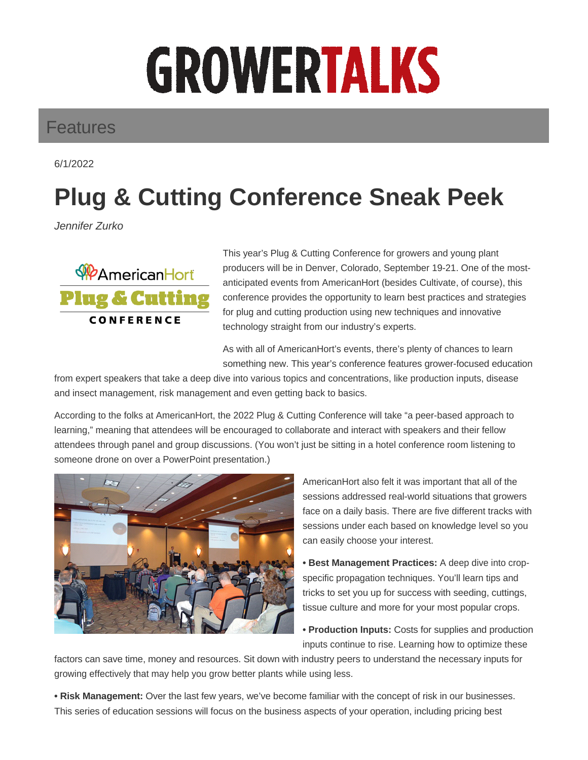## **GROWERTALKS**

## Features

6/1/2022

## **Plug & Cutting Conference Sneak Peek**

Jennifer Zurko



This year's Plug & Cutting Conference for growers and young plant producers will be in Denver, Colorado, September 19-21. One of the mostanticipated events from AmericanHort (besides Cultivate, of course), this conference provides the opportunity to learn best practices and strategies for plug and cutting production using new techniques and innovative technology straight from our industry's experts.

As with all of AmericanHort's events, there's plenty of chances to learn something new. This year's conference features grower-focused education

from expert speakers that take a deep dive into various topics and concentrations, like production inputs, disease and insect management, risk management and even getting back to basics.

According to the folks at AmericanHort, the 2022 Plug & Cutting Conference will take "a peer-based approach to learning," meaning that attendees will be encouraged to collaborate and interact with speakers and their fellow attendees through panel and group discussions. (You won't just be sitting in a hotel conference room listening to someone drone on over a PowerPoint presentation.)



AmericanHort also felt it was important that all of the sessions addressed real-world situations that growers face on a daily basis. There are five different tracks with sessions under each based on knowledge level so you can easily choose your interest.

**• Best Management Practices:** A deep dive into cropspecific propagation techniques. You'll learn tips and tricks to set you up for success with seeding, cuttings, tissue culture and more for your most popular crops.

**• Production Inputs:** Costs for supplies and production inputs continue to rise. Learning how to optimize these

factors can save time, money and resources. Sit down with industry peers to understand the necessary inputs for growing effectively that may help you grow better plants while using less.

**• Risk Management:** Over the last few years, we've become familiar with the concept of risk in our businesses. This series of education sessions will focus on the business aspects of your operation, including pricing best